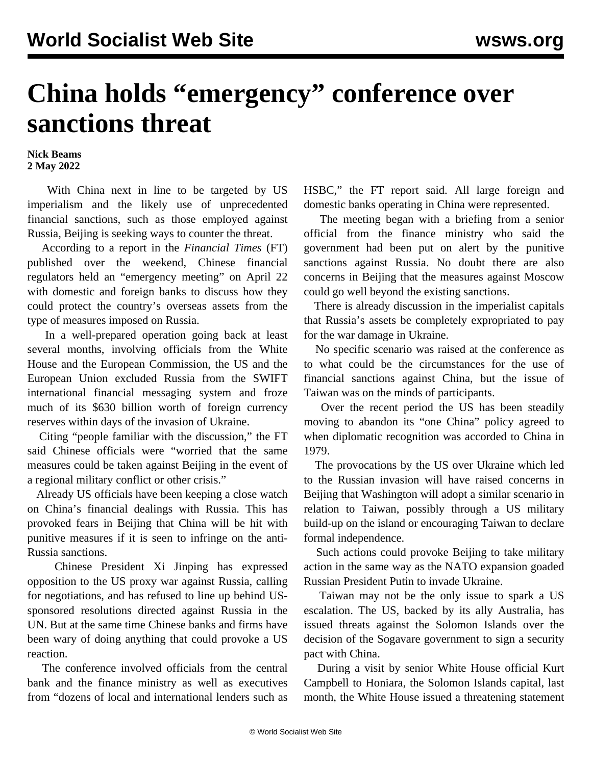## **China holds "emergency" conference over sanctions threat**

## **Nick Beams 2 May 2022**

 With China next in line to be targeted by US imperialism and the likely use of unprecedented financial sanctions, such as those employed against Russia, Beijing is seeking ways to counter the threat.

 According to a report in the *Financial Times* (FT) published over the weekend, Chinese financial regulators held an "emergency meeting" on April 22 with domestic and foreign banks to discuss how they could protect the country's overseas assets from the type of measures imposed on Russia.

 In a well-prepared operation going back at least several months, involving officials from the White House and the European Commission, the US and the European Union excluded Russia from the SWIFT international financial messaging system and froze much of its \$630 billion worth of foreign currency reserves within days of the invasion of Ukraine.

 Citing "people familiar with the discussion," the FT said Chinese officials were "worried that the same measures could be taken against Beijing in the event of a regional military conflict or other crisis."

 Already US officials have been keeping a close watch on China's financial dealings with Russia. This has provoked fears in Beijing that China will be hit with punitive measures if it is seen to infringe on the anti-Russia sanctions.

 Chinese President Xi Jinping has expressed opposition to the US proxy war against Russia, calling for negotiations, and has refused to line up behind USsponsored resolutions directed against Russia in the UN. But at the same time Chinese banks and firms have been wary of doing anything that could provoke a US reaction.

 The conference involved officials from the central bank and the finance ministry as well as executives from "dozens of local and international lenders such as HSBC," the FT report said. All large foreign and domestic banks operating in China were represented.

 The meeting began with a briefing from a senior official from the finance ministry who said the government had been put on alert by the punitive sanctions against Russia. No doubt there are also concerns in Beijing that the measures against Moscow could go well beyond the existing sanctions.

 There is already discussion in the imperialist capitals that Russia's assets be completely expropriated to pay for the war damage in Ukraine.

 No specific scenario was raised at the conference as to what could be the circumstances for the use of financial sanctions against China, but the issue of Taiwan was on the minds of participants.

 Over the recent period the US has been steadily moving to abandon its "one China" policy agreed to when diplomatic recognition was accorded to China in 1979.

 The provocations by the US over Ukraine which led to the Russian invasion will have raised concerns in Beijing that Washington will adopt a similar scenario in relation to Taiwan, possibly through a US military build-up on the island or encouraging Taiwan to declare formal independence.

 Such actions could provoke Beijing to take military action in the same way as the NATO expansion goaded Russian President Putin to invade Ukraine.

 Taiwan may not be the only issue to spark a US escalation. The US, backed by its ally Australia, has issued threats against the Solomon Islands over the decision of the Sogavare government to sign a security pact with China.

 During a visit by senior White House official Kurt Campbell to Honiara, the Solomon Islands capital, last month, the White House issued a threatening statement